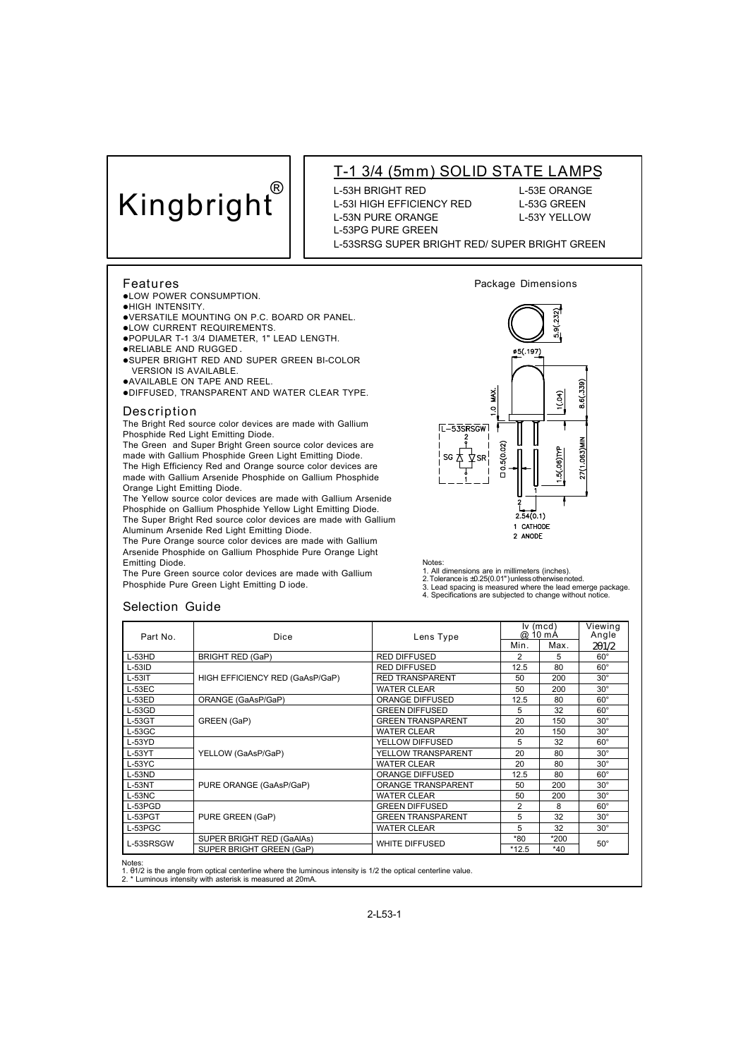# **Kingbright®**

## **T-1 3/4 (5mm) SOLID STATE LAMPS**

L-53H BRIGHT RED L-53E ORANGE L-53I HIGH EFFICIENCY RED L-53G GREEN L-53N PURE ORANGE L-53Y YELLOW L-53PG PURE GREEN

#### L-53SRSG SUPER BRIGHT RED/ SUPER BRIGHT GREEN

#### **Features**

- **.LOW POWER CONSUMPTION.**
- **.**HIGH INTENSITY.
- lVERSATILE MOUNTING ON P.C. BOARD OR PANEL.
- **.LOW CURRENT REQUIREMENTS.**
- lPOPULAR T-1 3/4 DIAMETER, 1" LEAD LENGTH.
- **.**RELIABLE AND RUGGED.
- **.SUPER BRIGHT RED AND SUPER GREEN BI-COLOR** VERSION IS AVAILABLE. lAVAILABLE ON TAPE AND REEL.
- lDIFFUSED, TRANSPARENT AND WATER CLEAR TYPE.

#### **Description**

The Bright Red source color devices are made with Gallium Phosphide Red Light Emitting Diode.

The Green and Super Bright Green source color devices are mo Sissing Super Engineers Light Emitting Diode. The High Efficiency Red and Orange source color devices are made with Gallium Arsenide Phosphide on Gallium Phosphide Orange Light Emitting Diode.

The Yellow source color devices are made with Gallium Arsenide Phosphide on Gallium Phosphide Yellow Light Emitting Diode. The Super Bright Red source color devices are made with Gallium Aluminum Arsenide Red Light Emitting Diode.

The Pure Orange source color devices are made with Gallium Arsenide Phosphide on Gallium Phosphide Pure Orange Light Emitting Diode.

The Pure Green source color devices are made with Gallium Phosphide Pure Green Light Emitting D iode.



**Package Dimensions**

Notes:

1. All dimensions are in millimeters (inches). 2. Tolerance is ±0.25(0.01") unless otherwise noted.

3. Lead spacing is measured where the lead emerge package. 4. Specifications are subjected to change without notice.

 $2.54(0.1)$ 1 CATHODE 2 ANODE

### **Selection Guide**

| Part No.  | Dice                            | Lens Type                |         | $Iv$ (mcd)<br>@ 10 mA |                |
|-----------|---------------------------------|--------------------------|---------|-----------------------|----------------|
|           |                                 |                          | Min.    | Max.                  | Angle<br>2q1/2 |
| $L-53HD$  | <b>BRIGHT RED (GaP)</b>         | <b>RED DIFFUSED</b>      | 2       | 5                     | $60^\circ$     |
| L-53ID    |                                 | <b>RED DIFFUSED</b>      | 12.5    | 80                    | $60^\circ$     |
| $L-53IT$  | HIGH EFFICIENCY RED (GaAsP/GaP) | <b>RED TRANSPARENT</b>   | 50      | 200                   | $30^\circ$     |
| $L-53EC$  |                                 | <b>WATER CLEAR</b>       | 50      | 200                   | $30^\circ$     |
| $L-53ED$  | ORANGE (GaAsP/GaP)              | <b>ORANGE DIFFUSED</b>   | 12.5    | 80                    | $60^{\circ}$   |
| $L-53GD$  |                                 | <b>GREEN DIFFUSED</b>    | 5       | 32                    | $60^\circ$     |
| $L-53GT$  | GREEN (GaP)                     | <b>GREEN TRANSPARENT</b> | 20      | 150                   | $30^\circ$     |
| $L-53GC$  |                                 | <b>WATER CLEAR</b>       | 20      | 150                   | $30^\circ$     |
| $L-53YD$  |                                 | YELLOW DIFFUSED          | 5       | 32                    | $60^\circ$     |
| $L-53YT$  | YELLOW (GaAsP/GaP)              | YELLOW TRANSPARENT       | 20      | 80                    | $30^\circ$     |
| $L-53$ YC |                                 | <b>WATER CLEAR</b>       | 20      | 80                    | $30^\circ$     |
| $L-53ND$  |                                 | <b>ORANGE DIFFUSED</b>   | 12.5    | 80                    | $60^\circ$     |
| $L-53NT$  | PURE ORANGE (GaAsP/GaP)         | ORANGE TRANSPARENT       | 50      | 200                   | $30^\circ$     |
| $L-53NC$  |                                 | <b>WATER CLEAR</b>       | 50      | 200                   | $30^\circ$     |
| L-53PGD   |                                 | <b>GREEN DIFFUSED</b>    | 2       | 8                     | $60^\circ$     |
| L-53PGT   | PURE GREEN (GaP)                | <b>GREEN TRANSPARENT</b> | 5       | 32                    | $30^\circ$     |
| L-53PGC   |                                 | <b>WATER CLEAR</b>       | 5       | 32                    | $30^\circ$     |
| L-53SRSGW | SUPER BRIGHT RED (GaAIAs)       |                          | *80     | *200                  |                |
|           | SUPER BRIGHT GREEN (GaP)        | <b>WHITE DIFFUSED</b>    | $*12.5$ | *40                   | $50^\circ$     |

1. θ1/2 is the angle from optical centerline where the luminous intensity is 1/2 the optical centerline value. 2. \* Luminous intensity with asterisk is measured at 20mA.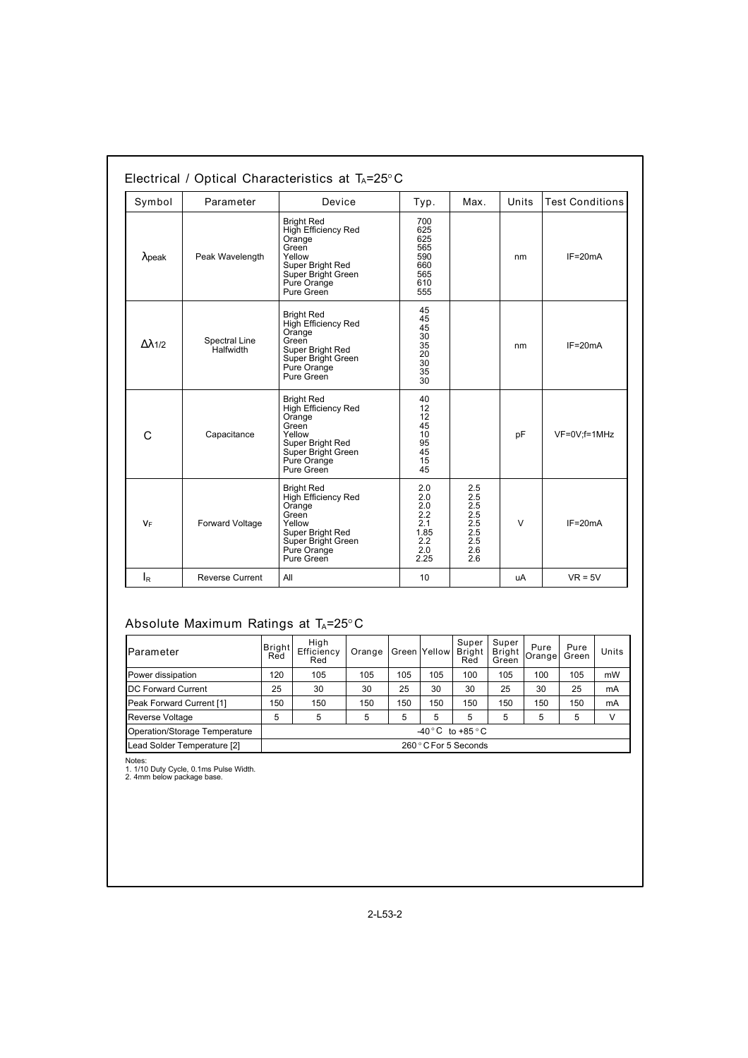| Symbol<br>Parameter<br>Peak Wavelength<br>$\lambda$ peak |                            | Device                                                                                                                                                                                                | Typ.                                                          | Max.                                                        | Units     | <b>Test Conditions</b> |  |
|----------------------------------------------------------|----------------------------|-------------------------------------------------------------------------------------------------------------------------------------------------------------------------------------------------------|---------------------------------------------------------------|-------------------------------------------------------------|-----------|------------------------|--|
|                                                          |                            | <b>Bright Red</b><br>High Efficiency Red<br>Orange<br>Green<br>Yellow<br>Super Bright Red<br>Super Bright Green<br>Pure Orange<br>Pure Green                                                          |                                                               | 700<br>625<br>625<br>565<br>590<br>660<br>565<br>610<br>555 |           | $IF=20mA$              |  |
| Δλ1/2                                                    | Spectral Line<br>Halfwidth | 45<br><b>Bright Red</b><br>45<br>High Efficiency Red<br>45<br>Orange<br>30<br>Green<br>35<br>Super Bright Red<br>20<br>Super Bright Green<br>30 <sup>°</sup><br>Pure Orange<br>35<br>Pure Green<br>30 |                                                               | nm                                                          | $IF=20mA$ |                        |  |
| C                                                        | Capacitance                | <b>Bright Red</b><br>High Efficiency Red<br>Orange<br>Green<br>Yellow<br>Super Bright Red<br>Super Bright Green<br>Pure Orange<br>Pure Green                                                          | 40<br>12<br>12<br>45<br>10<br>95<br>45<br>15<br>45            |                                                             | pF        | VF=0V;f=1MHz           |  |
| $V_F$                                                    | Forward Voltage            | <b>Bright Red</b><br>High Efficiency Red<br>Orange<br>Green<br>Yellow<br>Super Bright Red<br>Super Bright Green<br>Pure Orange<br>Pure Green                                                          | 2.0<br>2.0<br>2.0<br>2.2<br>2.1<br>1.85<br>2.2<br>2.0<br>2.25 | 2.5<br>2.5<br>2.5<br>2.5<br>2.5<br>2.5<br>2.5<br>2.6<br>2.6 | $\vee$    | $IF = 20mA$            |  |
| l <sub>R</sub>                                           | <b>Reverse Current</b>     | All                                                                                                                                                                                                   | 10                                                            |                                                             | uA        | $VR = 5V$              |  |

## **Absolute Maximum Ratings at TA=25°C**

| Parameter                     | Bright<br>Red                     | High<br>Efficiency<br>Red | Orange |     | Green Yellow | Super<br>Bright<br>Red | Super<br>Bright<br>Green | Pure<br><b>Orangel</b> | Pure<br>Green | <b>Units</b> |
|-------------------------------|-----------------------------------|---------------------------|--------|-----|--------------|------------------------|--------------------------|------------------------|---------------|--------------|
| Power dissipation             | 120                               | 105                       | 105    | 105 | 105          | 100                    | 105                      | 100                    | 105           | mW           |
| <b>DC Forward Current</b>     | 25                                | 30                        | 30     | 25  | 30           | 30                     | 25                       | 30                     | 25            | mA           |
| Peak Forward Current [1]      | 150                               | 150                       | 150    | 150 | 150          | 150                    | 150                      | 150                    | 150           | mA           |
| Reverse Voltage               | 5                                 | 5                         | 5      | 5   | 5            | 5                      | 5                        | 5                      | 5             | V            |
| Operation/Storage Temperature | $-40\degree$ C to +85 $\degree$ C |                           |        |     |              |                        |                          |                        |               |              |
| Lead Solder Temperature [2]   | 260 ° C For 5 Seconds             |                           |        |     |              |                        |                          |                        |               |              |

Notes: 1. 1/10 Duty Cycle, 0.1ms Pulse Width. 2. 4mm below package base.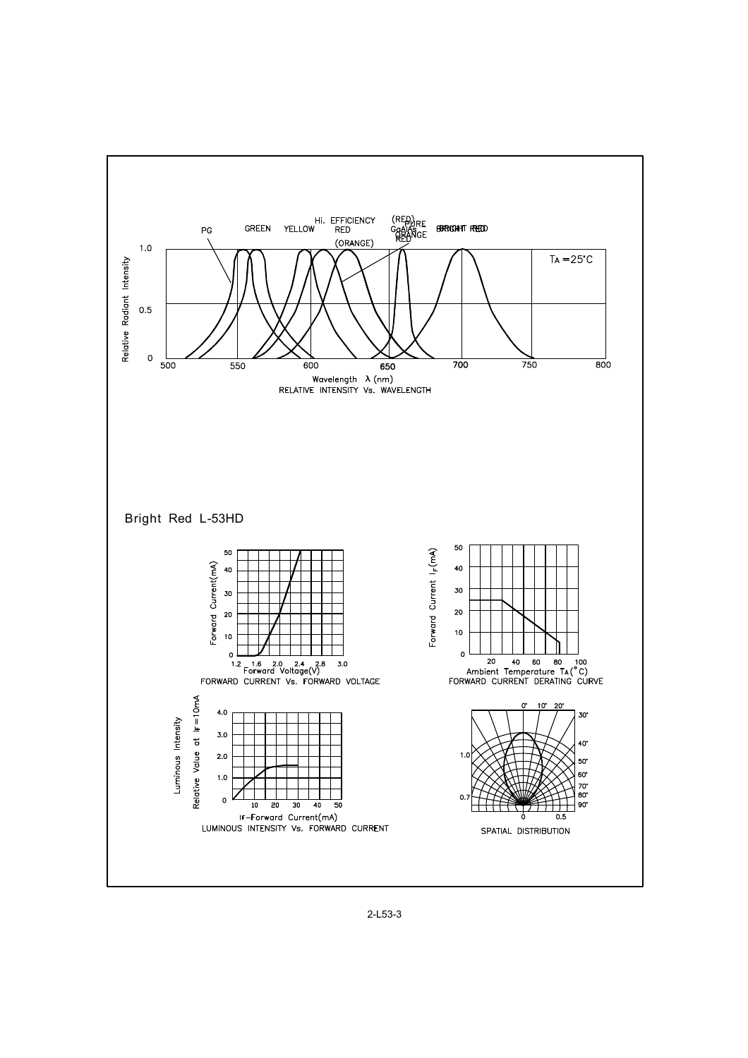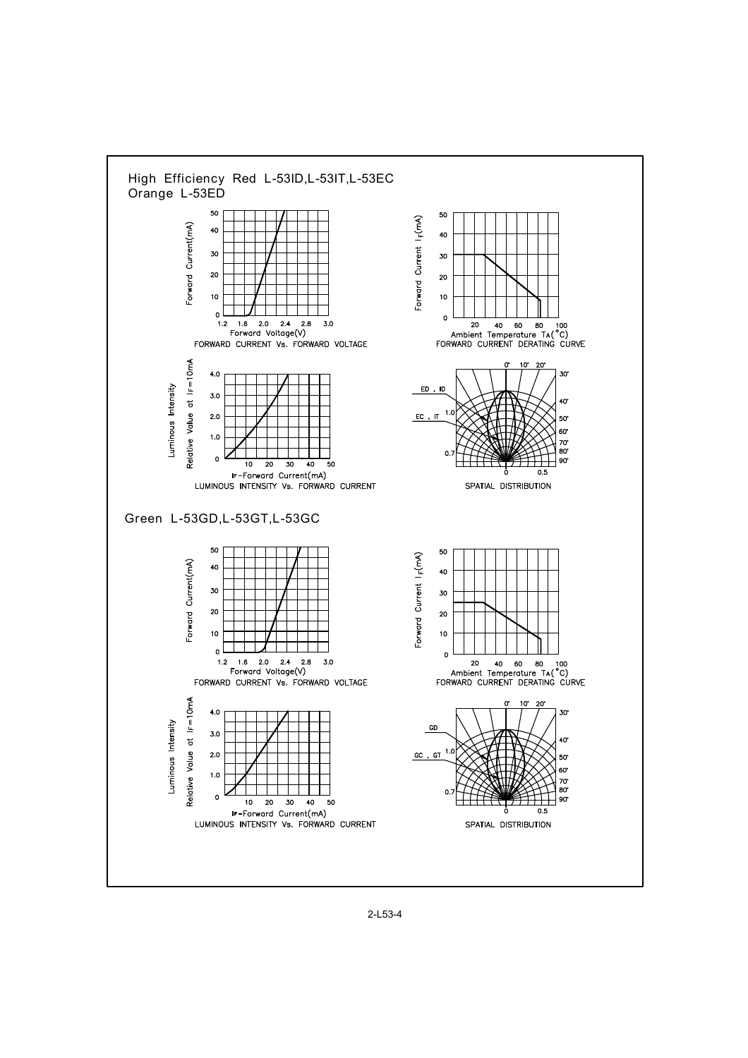

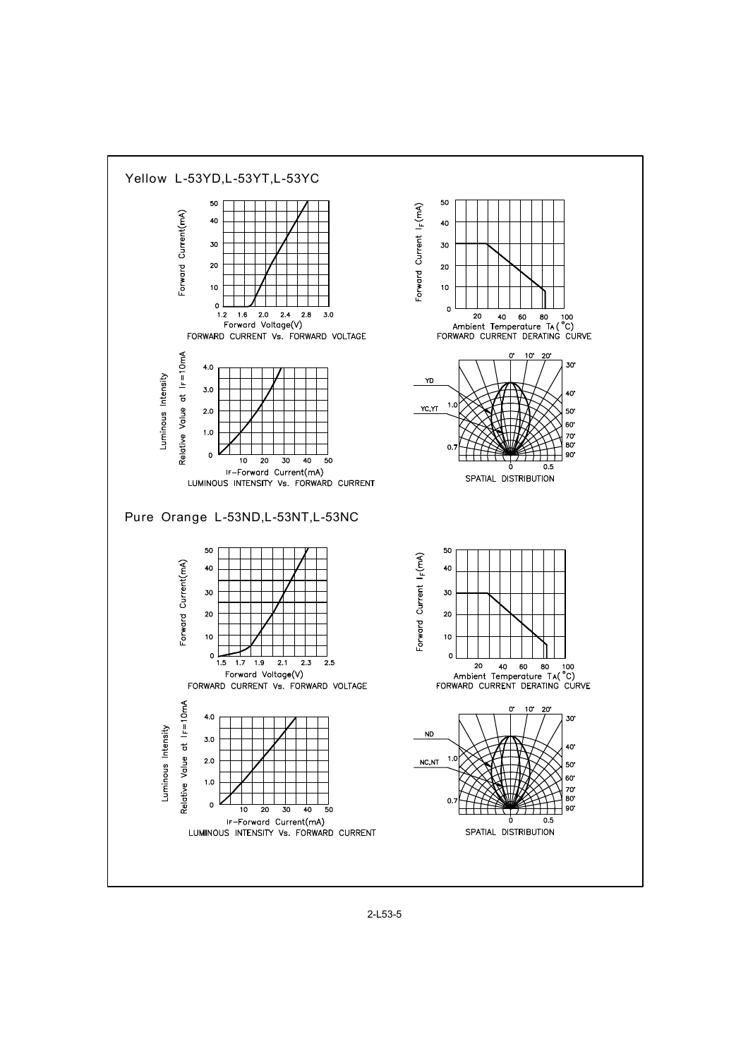